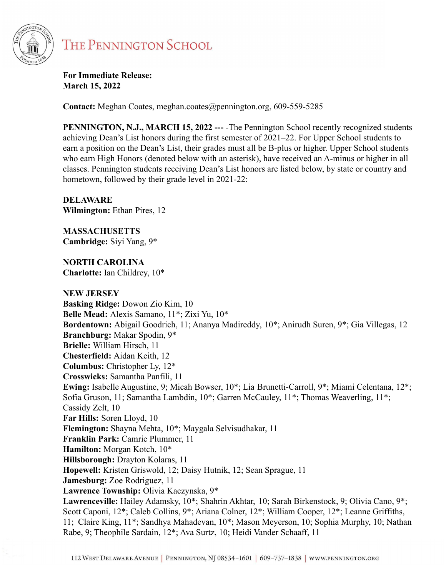

**For Immediate Release: March 15, 2022**

**Contact:** Meghan Coates, meghan.coates@pennington.org, 609-559-5285

**PENNINGTON, N.J., MARCH 15, 2022 ---** -The Pennington School recently recognized students achieving Dean's List honors during the first semester of 2021–22. For Upper School students to earn a position on the Dean's List, their grades must all be B-plus or higher. Upper School students who earn High Honors (denoted below with an asterisk), have received an A-minus or higher in all classes. Pennington students receiving Dean's List honors are listed below, by state or country and hometown, followed by their grade level in 2021-22:

**DELAWARE Wilmington:** Ethan Pires, 12

**MASSACHUSETTS Cambridge:** Siyi Yang, 9\*

**NORTH CAROLINA Charlotte:** Ian Childrey, 10\*

**NEW JERSEY Basking Ridge:** Dowon Zio Kim, 10 **Belle Mead:** Alexis Samano, 11\*; Zixi Yu, 10\* **Bordentown:** Abigail Goodrich, 11; Ananya Madireddy, 10\*; Anirudh Suren, 9\*; Gia Villegas, 12 **Branchburg:** Makar Spodin, 9\* **Brielle:** William Hirsch, 11 **Chesterfield:** Aidan Keith, 12 **Columbus:** Christopher Ly, 12\* **Crosswicks:** Samantha Panfili, 11 **Ewing:** Isabelle Augustine, 9; Micah Bowser, 10\*; Lia Brunetti-Carroll, 9\*; Miami Celentana, 12\*; Sofia Gruson, 11; Samantha Lambdin, 10\*; Garren McCauley, 11\*; Thomas Weaverling, 11\*; Cassidy Zelt, 10 **Far Hills:** Soren Lloyd, 10 **Flemington:** Shayna Mehta, 10\*; Maygala Selvisudhakar, 11 **Franklin Park:** Camrie Plummer, 11 **Hamilton:** Morgan Kotch, 10\* **Hillsborough:** Drayton Kolaras, 11 **Hopewell:** Kristen Griswold, 12; Daisy Hutnik, 12; Sean Sprague, 11 **Jamesburg:** Zoe Rodriguez, 11 **Lawrence Township:** Olivia Kaczynska, 9\* **Lawrenceville:** Hailey Adamsky, 10\*; Shahrin Akhtar, 10; Sarah Birkenstock, 9; Olivia Cano, 9\*; Scott Caponi, 12\*; Caleb Collins, 9\*; Ariana Colner, 12\*; William Cooper, 12\*; Leanne Griffiths, 11; Claire King, 11\*; Sandhya Mahadevan, 10\*; Mason Meyerson, 10; Sophia Murphy, 10; Nathan Rabe, 9; Theophile Sardain, 12\*; Ava Surtz, 10; Heidi Vander Schaaff, 11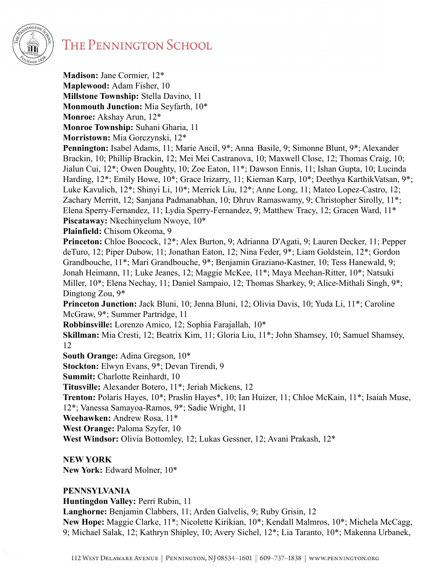

**Madison:** Jane Cormier, 12\* **Maplewood:** Adam Fisher, 10 **Millstone Township:** Stella Davino, 11 **Monmouth Junction:** Mia Seyfarth, 10\* **Monroe:** Akshay Arun, 12\* **Monroe Township:** Suhani Gharia, 11 **Morristown:** Mia Gorczynski, 12\*

**Pennington:** Isabel Adams, 11; Marie Ancil, 9\*; Anna Basile, 9; Simonne Blunt, 9\*; Alexander Brackin, 10; Phillip Brackin, 12; Mei Mei Castranova, 10; Maxwell Close, 12; Thomas Craig, 10; Jialun Cui, 12\*; Owen Doughty, 10; Zoe Eaton, 11\*; Dawson Ennis, 11; Ishan Gupta, 10; Lucinda Harding, 12\*; Emily Howe, 10\*; Grace Irizarry, 11; Kiernan Karp, 10\*; Deethya KarthikVatsan, 9\*; Luke Kavulich, 12\*; Shinyi Li, 10\*; Merrick Liu, 12\*; Anne Long, 11; Mateo Lopez-Castro, 12; Zachary Merritt, 12; Sanjana Padmanabhan, 10; Dhruv Ramaswamy, 9; Christopher Sirolly, 11\*; Elena Sperry-Fernandez, 11; Lydia Sperry-Fernandez, 9; Matthew Tracy, 12; Gracen Ward, 11\* **Piscataway:** Nkechinyelum Nwoye, 10\*

**Plainfield:** Chisom Okeoma, 9

**Princeton:** Chloe Boocock, 12\*; Alex Burton, 9; Adrianna D'Agati, 9; Lauren Decker, 11; Pepper deTuro, 12; Piper Dubow, 11; Jonathan Eaton, 12; Nina Feder, 9\*; Liam Goldstein, 12\*; Gordon Grandbouche, 11\*; Mari Grandbouche, 9\*; Benjamin Graziano-Kastner, 10; Tess Hanewald, 9; Jonah Heimann, 11; Luke Jeanes, 12; Maggie McKee, 11\*; Maya Meehan-Ritter, 10\*; Natsuki Miller, 10\*; Elena Nechay, 11; Daniel Sampaio, 12; Thomas Sharkey, 9; Alice-Mithali Singh, 9\*; Dingtong Zou, 9\*

**Princeton Junction:** Jack Bluni, 10; Jenna Bluni, 12; Olivia Davis, 10; Yuda Li, 11\*; Caroline McGraw, 9\*; Summer Partridge, 11

**Robbinsville:** Lorenzo Amico, 12; Sophia Farajallah, 10\*

**Skillman:** Mia Cresti, 12; Beatrix Kim, 11; Gloria Liu, 11\*; John Shamsey, 10; Samuel Shamsey, 12

**South Orange:** Adina Gregson, 10\*

**Stockton:** Elwyn Evans, 9\*; Devan Tirendi, 9

**Summit:** Charlotte Reinhardt, 10

**Titusville:** Alexander Botero, 11\*; Jeriah Mickens, 12

**Trenton:** Polaris Hayes, 10\*; Praslin Hayes\*, 10; Ian Huizer, 11; Chloe McKain, 11\*; Isaiah Muse, 12\*; Vanessa Samayoa-Ramos, 9\*; Sadie Wright, 11

**Weehawken:** Andrew Rosa, 11\*

**West Orange:** Paloma Szyfer, 10

**West Windsor:** Olivia Bottomley, 12; Lukas Gessner, 12; Avani Prakash, 12\*

## **NEW YORK**

**New York:** Edward Molner, 10\*

## **PENNSYLVANIA**

**Huntingdon Valley:** Perri Rubin, 11

**Langhorne:** Benjamin Clabbers, 11; Arden Galvelis, 9; Ruby Grisin, 12

**New Hope:** Maggie Clarke, 11\*; Nicolette Kirikian, 10\*; Kendall Malmros, 10\*; Michela McCagg, 9; Michael Salak, 12; Kathryn Shipley, 10; Avery Sichel, 12\*; Lia Taranto, 10\*; Makenna Urbanek,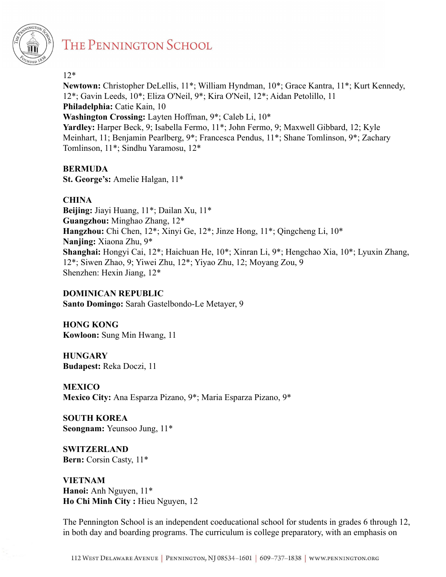

#### 12\*

**Newtown:** Christopher DeLellis, 11\*; William Hyndman, 10\*; Grace Kantra, 11\*; Kurt Kennedy, 12\*; Gavin Leeds, 10\*; Eliza O'Neil, 9\*; Kira O'Neil, 12\*; Aidan Petolillo, 11 **Philadelphia:** Catie Kain, 10 **Washington Crossing:** Layten Hoffman, 9\*; Caleb Li, 10\* **Yardley:** Harper Beck, 9; Isabella Fermo, 11\*; John Fermo, 9; Maxwell Gibbard, 12; Kyle

Meinhart, 11; Benjamin Pearlberg, 9\*; Francesca Pendus, 11\*; Shane Tomlinson, 9\*; Zachary Tomlinson, 11\*; Sindhu Yaramosu, 12\*

## **BERMUDA**

**St. George's:** Amelie Halgan, 11\*

# **CHINA**

**Beijing:** Jiayi Huang, 11\*; Dailan Xu, 11\* **Guangzhou:** Minghao Zhang, 12\* **Hangzhou:** Chi Chen, 12\*; Xinyi Ge, 12\*; Jinze Hong, 11\*; Qingcheng Li, 10\* **Nanjing:** Xiaona Zhu, 9\* **Shanghai:** Hongyi Cai, 12\*; Haichuan He, 10\*; Xinran Li, 9\*; Hengchao Xia, 10\*; Lyuxin Zhang, 12\*; Siwen Zhao, 9; Yiwei Zhu, 12\*; Yiyao Zhu, 12; Moyang Zou, 9 Shenzhen: Hexin Jiang, 12\*

## **DOMINICAN REPUBLIC**

**Santo Domingo:** Sarah Gastelbondo-Le Metayer, 9

**HONG KONG Kowloon:** Sung Min Hwang, 11

**HUNGARY Budapest:** Reka Doczi, 11

**MEXICO Mexico City:** Ana Esparza Pizano, 9\*; Maria Esparza Pizano, 9\*

**SOUTH KOREA Seongnam:** Yeunsoo Jung, 11\*

**SWITZERLAND Bern:** Corsin Casty, 11\*

**VIETNAM Hanoi:** Anh Nguyen, 11\* **Ho Chi Minh City :** Hieu Nguyen, 12

The Pennington School is an independent coeducational school for students in grades 6 through 12, in both day and boarding programs. The curriculum is college preparatory, with an emphasis on